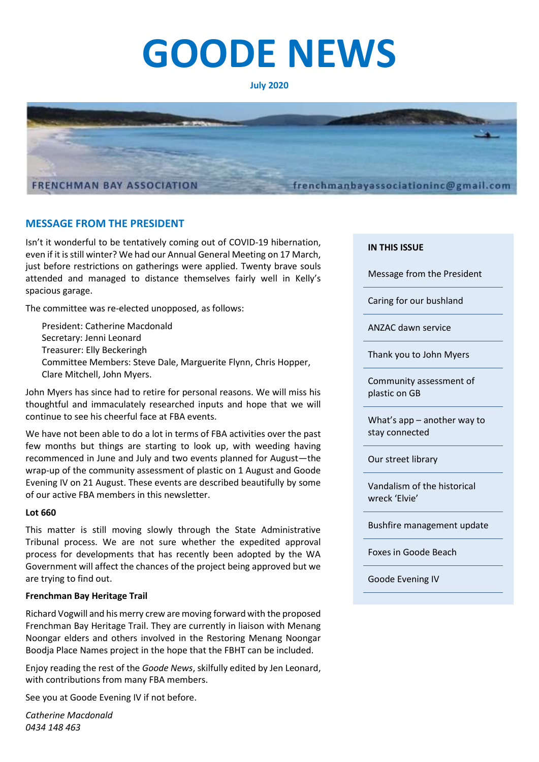# **GOODE NEWS**

#### **July 2020**



# **MESSAGE FROM THE PRESIDENT**

Isn't it wonderful to be tentatively coming out of COVID-19 hibernation, even if it is still winter? We had our Annual General Meeting on 17 March, just before restrictions on gatherings were applied. Twenty brave souls attended and managed to distance themselves fairly well in Kelly's spacious garage.

The committee was re-elected unopposed, as follows:

President: Catherine Macdonald Secretary: Jenni Leonard Treasurer: Elly Beckeringh Committee Members: Steve Dale, Marguerite Flynn, Chris Hopper, Clare Mitchell, John Myers.

John Myers has since had to retire for personal reasons. We will miss his thoughtful and immaculately researched inputs and hope that we will continue to see his cheerful face at FBA events.

We have not been able to do a lot in terms of FBA activities over the past few months but things are starting to look up, with weeding having recommenced in June and July and two events planned for August—the wrap-up of the community assessment of plastic on 1 August and Goode Evening IV on 21 August. These events are described beautifully by some of our active FBA members in this newsletter.

#### **Lot 660**

This matter is still moving slowly through the State Administrative Tribunal process. We are not sure whether the expedited approval process for developments that has recently been adopted by the WA Government will affect the chances of the project being approved but we are trying to find out.

#### **Frenchman Bay Heritage Trail**

Richard Vogwill and his merry crew are moving forward with the proposed Frenchman Bay Heritage Trail. They are currently in liaison with Menang Noongar elders and others involved in the Restoring Menang Noongar Boodja Place Names project in the hope that the FBHT can be included.

Enjoy reading the rest of the *Goode News*, skilfully edited by Jen Leonard, with contributions from many FBA members.

See you at Goode Evening IV if not before.

*Catherine Macdonald 0434 148 463*

#### **IN THIS ISSUE**

Message from the President

Caring for our bushland

ANZAC dawn service

Thank you to John Myers

Community assessment of plastic on GB

What's app – another way to stay connected

Our street library

Vandalism of the historical wreck 'Elvie'

Bushfire management update

Foxes in Goode Beach

Goode Evening IV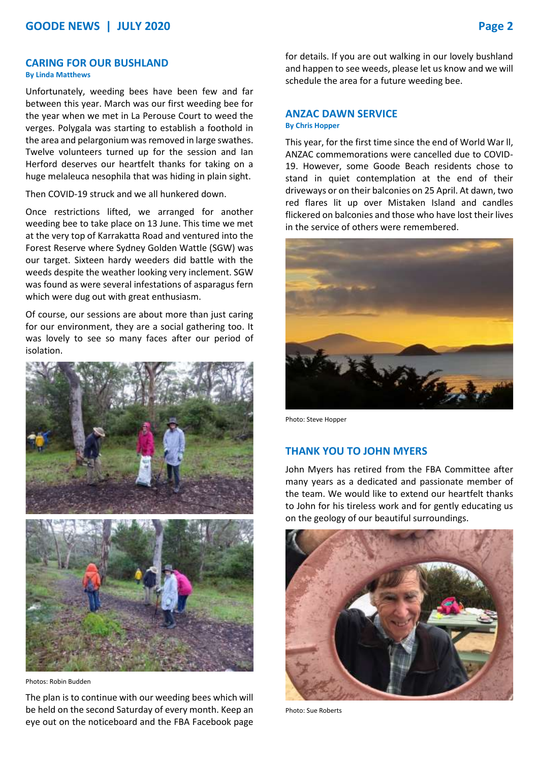#### **CARING FOR OUR BUSHLAND By Linda Matthews**

Unfortunately, weeding bees have been few and far between this year. March was our first weeding bee for the year when we met in La Perouse Court to weed the verges. Polygala was starting to establish a foothold in the area and pelargonium was removed in large swathes. Twelve volunteers turned up for the session and Ian Herford deserves our heartfelt thanks for taking on a huge melaleuca nesophila that was hiding in plain sight.

Then COVID-19 struck and we all hunkered down.

Once restrictions lifted, we arranged for another weeding bee to take place on 13 June. This time we met at the very top of Karrakatta Road and ventured into the Forest Reserve where Sydney Golden Wattle (SGW) was our target. Sixteen hardy weeders did battle with the weeds despite the weather looking very inclement. SGW was found as were several infestations of asparagus fern which were dug out with great enthusiasm.

Of course, our sessions are about more than just caring for our environment, they are a social gathering too. It was lovely to see so many faces after our period of isolation.





Photos: Robin Budden

The plan is to continue with our weeding bees which will be held on the second Saturday of every month. Keep an eye out on the noticeboard and the FBA Facebook page for details. If you are out walking in our lovely bushland and happen to see weeds, please let us know and we will schedule the area for a future weeding bee.

# **ANZAC DAWN SERVICE**

# **By Chris Hopper**

This year, for the first time since the end of World War ll, ANZAC commemorations were cancelled due to COVID-19. However, some Goode Beach residents chose to stand in quiet contemplation at the end of their driveways or on their balconies on 25 April. At dawn, two red flares lit up over Mistaken Island and candles flickered on balconies and those who have lost their lives in the service of others were remembered.



Photo: Steve Hopper

# **THANK YOU TO JOHN MYERS**

John Myers has retired from the FBA Committee after many years as a dedicated and passionate member of the team. We would like to extend our heartfelt thanks to John for his tireless work and for gently educating us on the geology of our beautiful surroundings.



Photo: Sue Roberts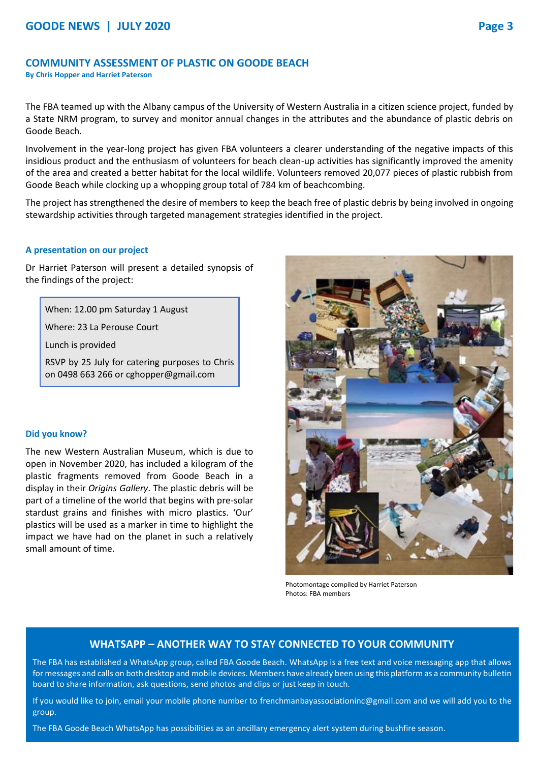## **COMMUNITY ASSESSMENT OF PLASTIC ON GOODE BEACH**

**By Chris Hopper and Harriet Paterson**

The FBA teamed up with the Albany campus of the University of Western Australia in a citizen science project, funded by a State NRM program, to survey and monitor annual changes in the attributes and the abundance of plastic debris on Goode Beach.

Involvement in the year-long project has given FBA volunteers a clearer understanding of the negative impacts of this insidious product and the enthusiasm of volunteers for beach clean-up activities has significantly improved the amenity of the area and created a better habitat for the local wildlife. Volunteers removed 20,077 pieces of plastic rubbish from Goode Beach while clocking up a whopping group total of 784 km of beachcombing.

The project has strengthened the desire of members to keep the beach free of plastic debris by being involved in ongoing stewardship activities through targeted management strategies identified in the project.

#### **A presentation on our project**

Dr Harriet Paterson will present a detailed synopsis of the findings of the project:

When: 12.00 pm Saturday 1 August

Where: 23 La Perouse Court

Lunch is provided

RSVP by 25 July for catering purposes to Chris on 0498 663 266 or cghopper@gmail.com

#### **Did you know?**

The new Western Australian Museum, which is due to open in November 2020, has included a kilogram of the plastic fragments removed from Goode Beach in a display in their *Origins Gallery*. The plastic debris will be part of a timeline of the world that begins with pre-solar stardust grains and finishes with micro plastics. 'Our' plastics will be used as a marker in time to highlight the impact we have had on the planet in such a relatively small amount of time.

Photomontage compiled by Harriet Paterson Photos: FBA members

# **WHATSAPP – ANOTHER WAY TO STAY CONNECTED TO YOUR COMMUNITY**

The FBA has established a WhatsApp group, called FBA Goode Beach. WhatsApp is a free text and voice messaging app that allows for messages and calls on both desktop and mobile devices. Members have already been using this platform as a community bulletin board to share information, ask questions, send photos and clips or just keep in touch.

If you would like to join, email your mobile phone number to [frenchmanbayassociationinc@gmail.com](mailto:frenchmanbayassociationinc@gmail.com) and we will add you to the group.

The FBA Goode Beach WhatsApp has possibilities as an ancillary emergency alert system during bushfire season.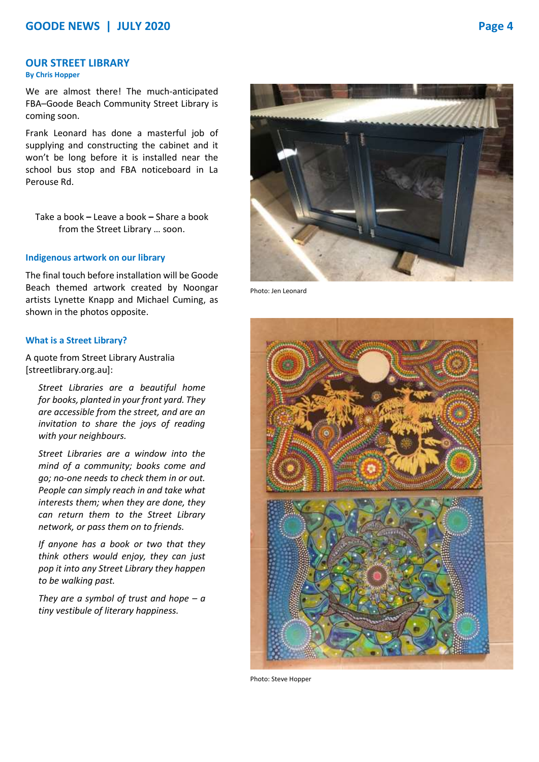# **OUR STREET LIBRARY**

### **By Chris Hopper**

We are almost there! The much-anticipated FBA–Goode Beach Community Street Library is coming soon.

Frank Leonard has done a masterful job of supplying and constructing the cabinet and it won't be long before it is installed near the school bus stop and FBA noticeboard in La Perouse Rd.

Take a book **–** Leave a book **–** Share a book from the Street Library … soon.

#### **Indigenous artwork on our library**

The final touch before installation will be Goode Beach themed artwork created by Noongar artists Lynette Knapp and Michael Cuming, as shown in the photos opposite.

#### **What is a Street Library?**

A quote from Street Library Australia [streetlibrary.org.au]:

*Street Libraries are a beautiful home for books, planted in your front yard. They are accessible from the street, and are an invitation to share the joys of reading with your neighbours.*

*Street Libraries are a window into the mind of a community; books come and go; no-one needs to check them in or out. People can simply reach in and take what interests them; when they are done, they can return them to the Street Library network, or pass them on to friends.*

*If anyone has a book or two that they think others would enjoy, they can just pop it into any Street Library they happen to be walking past.*

*They are a symbol of trust and hope – a tiny vestibule of literary happiness.*



Photo: Jen Leonard



Photo: Steve Hopper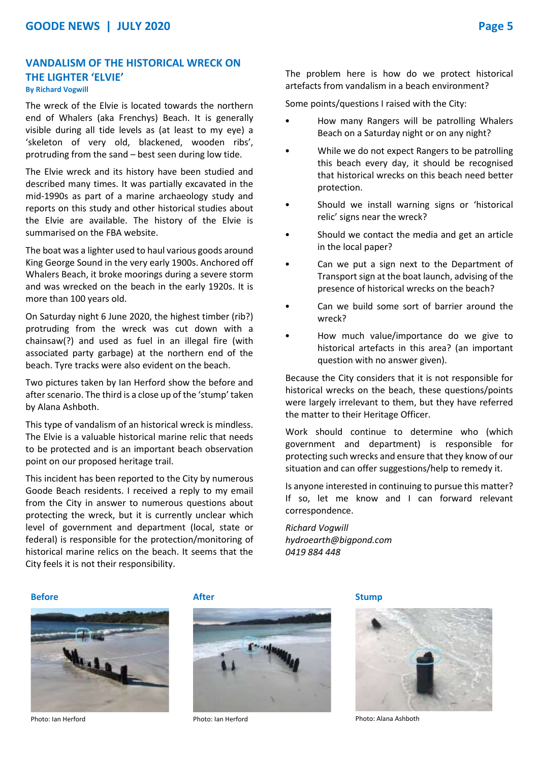# **VANDALISM OF THE HISTORICAL WRECK ON THE LIGHTER 'ELVIE' By Richard Vogwill**

The wreck of the Elvie is located towards the northern end of Whalers (aka Frenchys) Beach. It is generally visible during all tide levels as (at least to my eye) a 'skeleton of very old, blackened, wooden ribs', protruding from the sand – best seen during low tide.

The Elvie wreck and its history have been studied and described many times. It was partially excavated in the mid-1990s as part of a marine archaeology study and reports on this study and other historical studies about the Elvie are available. The history of the Elvie is summarised on the FBA website.

The boat was a lighter used to haul various goods around King George Sound in the very early 1900s. Anchored off Whalers Beach, it broke moorings during a severe storm and was wrecked on the beach in the early 1920s. It is more than 100 years old.

On Saturday night 6 June 2020, the highest timber (rib?) protruding from the wreck was cut down with a chainsaw(?) and used as fuel in an illegal fire (with associated party garbage) at the northern end of the beach. Tyre tracks were also evident on the beach.

Two pictures taken by Ian Herford show the before and after scenario. The third is a close up of the 'stump' taken by Alana Ashboth.

This type of vandalism of an historical wreck is mindless. The Elvie is a valuable historical marine relic that needs to be protected and is an important beach observation point on our proposed heritage trail.

This incident has been reported to the City by numerous Goode Beach residents. I received a reply to my email from the City in answer to numerous questions about protecting the wreck, but it is currently unclear which level of government and department (local, state or federal) is responsible for the protection/monitoring of historical marine relics on the beach. It seems that the City feels it is not their responsibility.

The problem here is how do we protect historical artefacts from vandalism in a beach environment?

Some points/questions I raised with the City:

- How many Rangers will be patrolling Whalers Beach on a Saturday night or on any night?
- While we do not expect Rangers to be patrolling this beach every day, it should be recognised that historical wrecks on this beach need better protection.
- Should we install warning signs or 'historical relic' signs near the wreck?
- Should we contact the media and get an article in the local paper?
- Can we put a sign next to the Department of Transport sign at the boat launch, advising of the presence of historical wrecks on the beach?
- Can we build some sort of barrier around the wreck?
- How much value/importance do we give to historical artefacts in this area? (an important question with no answer given).

Because the City considers that it is not responsible for historical wrecks on the beach, these questions/points were largely irrelevant to them, but they have referred the matter to their Heritage Officer.

Work should continue to determine who (which government and department) is responsible for protecting such wrecks and ensure that they know of our situation and can offer suggestions/help to remedy it.

Is anyone interested in continuing to pursue this matter? If so, let me know and I can forward relevant correspondence.

*Richard Vogwill hydroearth@bigpond.com 0419 884 448*

#### **Before Before After After After Stump**







Photo: Ian Herford Photo: Ian Herford Photo: Alana Ashboth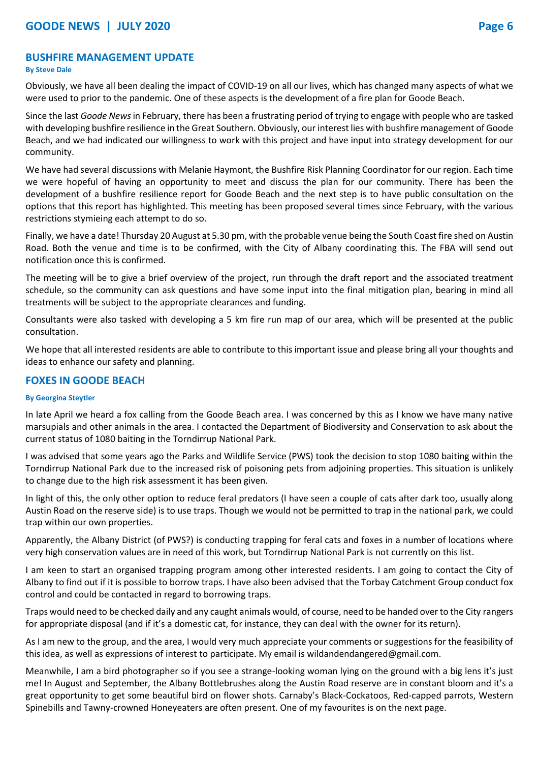# **BUSHFIRE MANAGEMENT UPDATE**

## **By Steve Dale**

Obviously, we have all been dealing the impact of COVID-19 on all our lives, which has changed many aspects of what we were used to prior to the pandemic. One of these aspects is the development of a fire plan for Goode Beach.

Since the last *Goode News*in February, there has been a frustrating period of trying to engage with people who are tasked with developing bushfire resilience in the Great Southern. Obviously, our interest lies with bushfire management of Goode Beach, and we had indicated our willingness to work with this project and have input into strategy development for our community.

We have had several discussions with Melanie Haymont, the Bushfire Risk Planning Coordinator for our region. Each time we were hopeful of having an opportunity to meet and discuss the plan for our community. There has been the development of a bushfire resilience report for Goode Beach and the next step is to have public consultation on the options that this report has highlighted. This meeting has been proposed several times since February, with the various restrictions stymieing each attempt to do so.

Finally, we have a date! Thursday 20 August at 5.30 pm, with the probable venue being the South Coast fire shed on Austin Road. Both the venue and time is to be confirmed, with the City of Albany coordinating this. The FBA will send out notification once this is confirmed.

The meeting will be to give a brief overview of the project, run through the draft report and the associated treatment schedule, so the community can ask questions and have some input into the final mitigation plan, bearing in mind all treatments will be subject to the appropriate clearances and funding.

Consultants were also tasked with developing a 5 km fire run map of our area, which will be presented at the public consultation.

We hope that all interested residents are able to contribute to this important issue and please bring all your thoughts and ideas to enhance our safety and planning.

# **FOXES IN GOODE BEACH**

# **By Georgina Steytler**

In late April we heard a fox calling from the Goode Beach area. I was concerned by this as I know we have many native marsupials and other animals in the area. I contacted the Department of Biodiversity and Conservation to ask about the current status of 1080 baiting in the Torndirrup National Park.

I was advised that some years ago the Parks and Wildlife Service (PWS) took the decision to stop 1080 baiting within the Torndirrup National Park due to the increased risk of poisoning pets from adjoining properties. This situation is unlikely to change due to the high risk assessment it has been given.

In light of this, the only other option to reduce feral predators (I have seen a couple of cats after dark too, usually along Austin Road on the reserve side) is to use traps. Though we would not be permitted to trap in the national park, we could trap within our own properties.

Apparently, the Albany District (of PWS?) is conducting trapping for feral cats and foxes in a number of locations where very high conservation values are in need of this work, but Torndirrup National Park is not currently on this list.

I am keen to start an organised trapping program among other interested residents. I am going to contact the City of Albany to find out if it is possible to borrow traps. I have also been advised that the Torbay Catchment Group conduct fox control and could be contacted in regard to borrowing traps.

Traps would need to be checked daily and any caught animals would, of course, need to be handed over to the City rangers for appropriate disposal (and if it's a domestic cat, for instance, they can deal with the owner for its return).

As I am new to the group, and the area, I would very much appreciate your comments or suggestions for the feasibility of this idea, as well as expressions of interest to participate. My email is [wildandendangered@gmail.com.](mailto:wildandendangered@gmail.com)

Meanwhile, I am a bird photographer so if you see a strange-looking woman lying on the ground with a big lens it's just me! In August and September, the Albany Bottlebrushes along the Austin Road reserve are in constant bloom and it's a great opportunity to get some beautiful bird on flower shots. Carnaby's Black-Cockatoos, Red-capped parrots, Western Spinebills and Tawny-crowned Honeyeaters are often present. One of my favourites is on the next page.